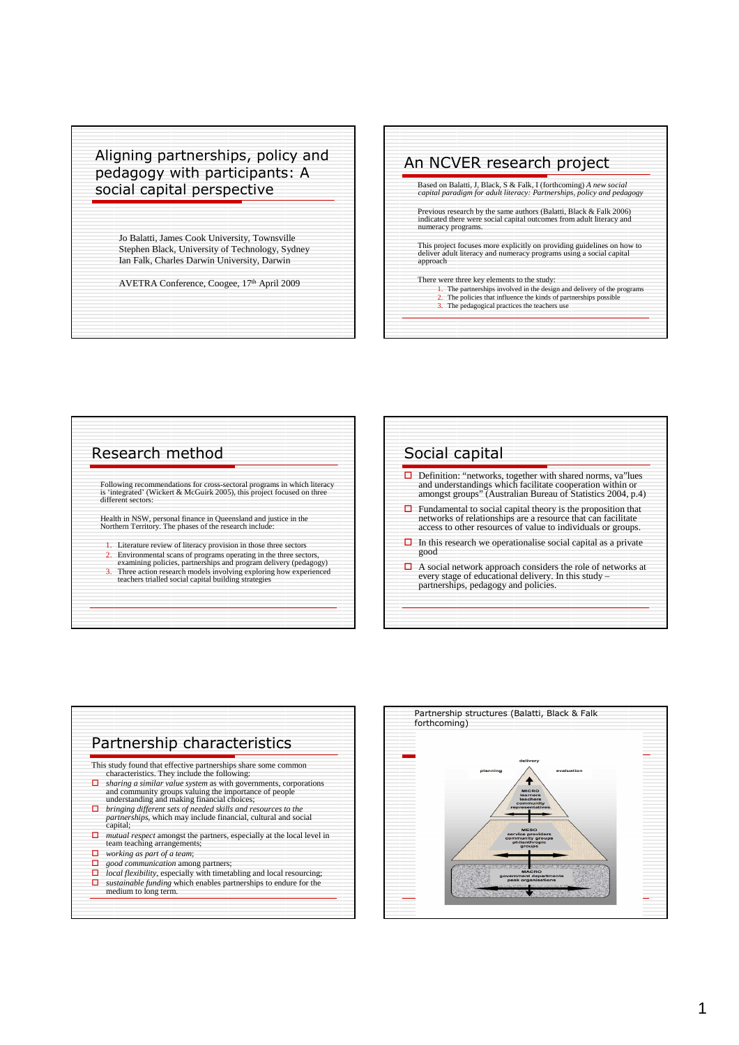## Aligning partnerships, policy and pedagogy with participants: A social capital perspective

Jo Balatti, James Cook University, Townsville Stephen Black, University of Technology, Sydney Ian Falk, Charles Darwin University, Darwin

AVETRA Conference, Coogee, 17th April 2009